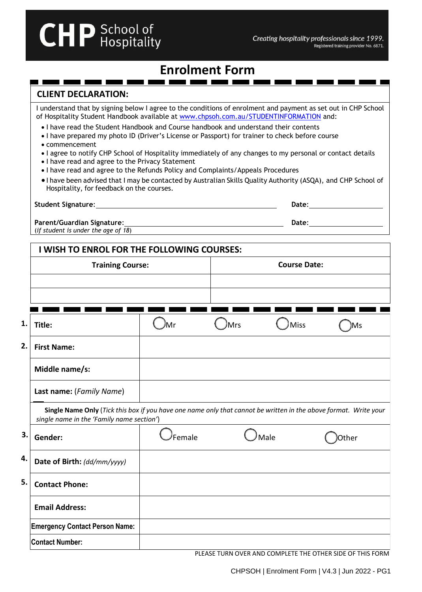# **Enrolment Form**

# **CLIENT DECLARATION:**

**CHP** School of

I understand that by signing below I agree to the conditions of enrolment and payment as set out in CHP School of Hospitality Student Handbook available at [www.chpsoh.com.au/STUDENTINFORMATION](http://www.chpsoh.com.au/STUDENTINFORMATION) and:

• I have read the Student Handbook and Course handbook and understand their contents

<u>and the second second</u>

- I have prepared my photo ID (Driver's License or Passport) for trainer to check before course
- commencement
- I agree to notify CHP School of Hospitality immediately of any changes to my personal or contact details
- I have read and agree to the Privacy Statement
- I have read and agree to the Refunds Policy and Complaints/Appeals Procedures
- I have been advised that I may be contacted by Australian Skills Quality Authority (ASQA), and CHP School of Hospitality, for feedback on the courses.

| <b>Student Signature:</b>                                                | Date: |
|--------------------------------------------------------------------------|-------|
| <b>Parent/Guardian Signature:</b><br>(if student is under the age of 18) | Date: |

|    | I WISH TO ENROL FOR THE FOLLOWING COURSES:                                                                                                                    |                         |                         |                          |       |  |  |
|----|---------------------------------------------------------------------------------------------------------------------------------------------------------------|-------------------------|-------------------------|--------------------------|-------|--|--|
|    |                                                                                                                                                               | <b>Training Course:</b> |                         | <b>Course Date:</b>      |       |  |  |
|    |                                                                                                                                                               |                         |                         |                          |       |  |  |
|    |                                                                                                                                                               |                         |                         |                          |       |  |  |
| 1. | Title:                                                                                                                                                        | Mr                      | Mrs                     | <b>Miss</b>              | Ms    |  |  |
| 2. | <b>First Name:</b>                                                                                                                                            |                         |                         |                          |       |  |  |
|    | Middle name/s:                                                                                                                                                |                         |                         |                          |       |  |  |
|    | Last name: (Family Name)                                                                                                                                      |                         |                         |                          |       |  |  |
|    | Single Name Only (Tick this box if you have one name only that cannot be written in the above format. Write your<br>single name in the 'Family name section') |                         |                         |                          |       |  |  |
| 3. | Gender:                                                                                                                                                       | Female                  |                         | Male                     | Other |  |  |
| 4. | Date of Birth: (dd/mm/yyyy)                                                                                                                                   |                         |                         |                          |       |  |  |
| 5. | <b>Contact Phone:</b>                                                                                                                                         |                         |                         |                          |       |  |  |
|    | <b>Email Address:</b>                                                                                                                                         |                         |                         |                          |       |  |  |
|    | <b>Emergency Contact Person Name:</b>                                                                                                                         |                         |                         |                          |       |  |  |
|    | <b>Contact Number:</b>                                                                                                                                        |                         |                         |                          |       |  |  |
|    |                                                                                                                                                               |                         | <b>NUTACE TURNEOUTD</b> | $0.01101$ $0.017$ $0.07$ |       |  |  |

PLEASE TURN OVER AND COMPLETE THE OTHER SIDE OF THIS FORM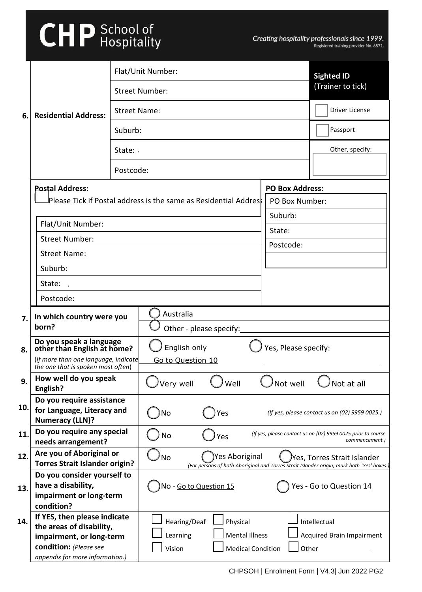# **CHP** School of

|     | Flat/Unit Number:                                                          |           |                                                                   |                        | <b>Sighted ID</b>                                                                                                         |
|-----|----------------------------------------------------------------------------|-----------|-------------------------------------------------------------------|------------------------|---------------------------------------------------------------------------------------------------------------------------|
|     |                                                                            |           | <b>Street Number:</b>                                             |                        | (Trainer to tick)                                                                                                         |
| 6.  | <b>Residential Address:</b>                                                |           | <b>Street Name:</b>                                               |                        | Driver License                                                                                                            |
|     |                                                                            | Suburb:   |                                                                   |                        | Passport                                                                                                                  |
|     |                                                                            | State:    |                                                                   |                        | Other, specify:                                                                                                           |
|     |                                                                            | Postcode: |                                                                   |                        |                                                                                                                           |
|     | <b>Postal Address:</b>                                                     |           |                                                                   | <b>PO Box Address:</b> |                                                                                                                           |
|     |                                                                            |           | JPIease Tick if Postal address is the same as Residential Addres! | PO Box Number:         |                                                                                                                           |
|     |                                                                            |           |                                                                   | Suburb:                |                                                                                                                           |
|     | Flat/Unit Number:                                                          |           |                                                                   |                        |                                                                                                                           |
|     | <b>Street Number:</b>                                                      |           |                                                                   | State:                 |                                                                                                                           |
|     | <b>Street Name:</b>                                                        |           |                                                                   | Postcode:              |                                                                                                                           |
|     | Suburb:                                                                    |           |                                                                   |                        |                                                                                                                           |
|     | State:                                                                     |           |                                                                   |                        |                                                                                                                           |
|     | Postcode:                                                                  |           |                                                                   |                        |                                                                                                                           |
|     | Australia<br>In which country were you                                     |           |                                                                   |                        |                                                                                                                           |
| 7.  | born?                                                                      |           | Other - please specify:                                           |                        |                                                                                                                           |
| 8.  | Do you speak a language<br>other than English at home?                     |           | English only<br>Yes, Please specify:                              |                        |                                                                                                                           |
|     | (If more than one language, indicate<br>the one that is spoken most often) |           | Go to Question 10                                                 |                        |                                                                                                                           |
| 9.  | How well do you speak<br>English?                                          |           | Very well<br>Well                                                 | Not well               | Not at all                                                                                                                |
|     | Do you require assistance                                                  |           |                                                                   |                        |                                                                                                                           |
| 10. | for Language, Literacy and<br><b>Numeracy (LLN)?</b>                       |           | No<br>Yes                                                         |                        | (If yes, please contact us on (02) 9959 0025.)                                                                            |
| 11. | Do you require any special                                                 |           | No<br>Yes                                                         |                        | (If yes, please contact us on (02) 9959 0025 prior to course                                                              |
|     | needs arrangement?                                                         |           |                                                                   |                        | commencement.)                                                                                                            |
| 12. | Are you of Aboriginal or<br><b>Torres Strait Islander origin?</b>          |           | Yes Aboriginal<br><b>No</b>                                       |                        | Yes, Torres Strait Islander<br>(For persons of both Aboriginal and Torres Strait Islander origin, mark both `Yes' boxes.) |
|     | Do you consider yourself to                                                |           |                                                                   |                        |                                                                                                                           |
| 13. | have a disability,                                                         |           | No - Go to Question 15<br>Yes - Go to Question 14                 |                        |                                                                                                                           |
|     | impairment or long-term                                                    |           |                                                                   |                        |                                                                                                                           |
|     | condition?                                                                 |           |                                                                   |                        |                                                                                                                           |
| 14. | If YES, then please indicate<br>the areas of disability,                   |           | Hearing/Deaf<br>Physical                                          |                        | Intellectual                                                                                                              |
|     | impairment, or long-term                                                   |           | Learning<br><b>Mental Illness</b>                                 |                        | <b>Acquired Brain Impairment</b>                                                                                          |
|     | condition: (Please see                                                     |           | Vision<br><b>Medical Condition</b>                                | Other                  |                                                                                                                           |
|     | appendix for more information.)                                            |           |                                                                   |                        |                                                                                                                           |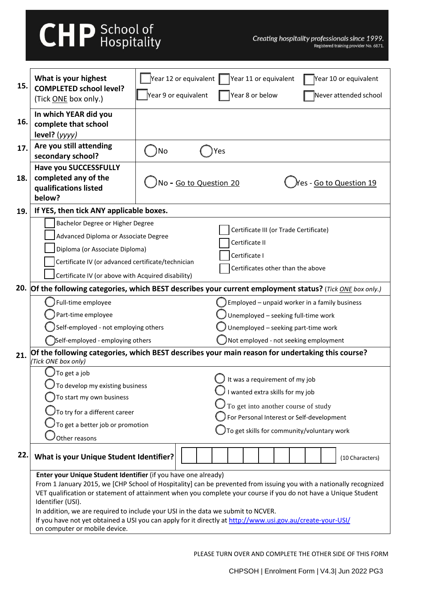# **CHP** School of

| 15. | What is your highest<br><b>COMPLETED school level?</b>                                                             | Year 12 or equivalent                                                                   | Year 11 or equivalent                      | Year 10 or equivalent                         |  |  |  |
|-----|--------------------------------------------------------------------------------------------------------------------|-----------------------------------------------------------------------------------------|--------------------------------------------|-----------------------------------------------|--|--|--|
|     | (Tick ONE box only.)                                                                                               | Year 9 or equivalent                                                                    | Year 8 or below                            | Never attended school                         |  |  |  |
|     | In which YEAR did you                                                                                              |                                                                                         |                                            |                                               |  |  |  |
| 16. | complete that school                                                                                               |                                                                                         |                                            |                                               |  |  |  |
|     | level? (yyyy)                                                                                                      |                                                                                         |                                            |                                               |  |  |  |
| 17. | Are you still attending                                                                                            | No                                                                                      | Yes                                        |                                               |  |  |  |
|     | secondary school?                                                                                                  |                                                                                         |                                            |                                               |  |  |  |
|     | <b>Have you SUCCESSFULLY</b>                                                                                       |                                                                                         |                                            |                                               |  |  |  |
| 18. | completed any of the                                                                                               | No - Go to Question 20                                                                  |                                            | Yes - <u>Go to Question 19</u>                |  |  |  |
|     | qualifications listed                                                                                              |                                                                                         |                                            |                                               |  |  |  |
|     | below?                                                                                                             |                                                                                         |                                            |                                               |  |  |  |
| 19. | If YES, then tick ANY applicable boxes.                                                                            |                                                                                         |                                            |                                               |  |  |  |
|     | Bachelor Degree or Higher Degree                                                                                   |                                                                                         | Certificate III (or Trade Certificate)     |                                               |  |  |  |
|     | Advanced Diploma or Associate Degree                                                                               |                                                                                         | Certificate II                             |                                               |  |  |  |
|     | Diploma (or Associate Diploma)                                                                                     |                                                                                         |                                            |                                               |  |  |  |
|     | Certificate IV (or advanced certificate/technician                                                                 |                                                                                         | Certificate I                              |                                               |  |  |  |
|     |                                                                                                                    | Certificates other than the above<br>Certificate IV (or above with Acquired disability) |                                            |                                               |  |  |  |
|     | 20. Of the following categories, which BEST describes your current employment status? (Tick ONE box only.)         |                                                                                         |                                            |                                               |  |  |  |
|     | Full-time employee                                                                                                 |                                                                                         |                                            | Employed - unpaid worker in a family business |  |  |  |
|     | Part-time employee                                                                                                 |                                                                                         | Unemployed - seeking full-time work        |                                               |  |  |  |
|     | Self-employed - not employing others                                                                               |                                                                                         | Unemployed - seeking part-time work        |                                               |  |  |  |
|     | )Self-employed - employing others                                                                                  |                                                                                         | Not employed - not seeking employment      |                                               |  |  |  |
| 21. | Of the following categories, which BEST describes your main reason for undertaking this course?                    |                                                                                         |                                            |                                               |  |  |  |
|     | (Tick ONE box only)                                                                                                |                                                                                         |                                            |                                               |  |  |  |
|     | To get a job                                                                                                       |                                                                                         | It was a requirement of my job             |                                               |  |  |  |
|     | $J$ To develop my existing business<br>To start my own business                                                    |                                                                                         | $\bigcup$ I wanted extra skills for my job |                                               |  |  |  |
|     |                                                                                                                    |                                                                                         | To get into another course of study        |                                               |  |  |  |
|     | $\mathcal J$ To try for a different career                                                                         |                                                                                         | For Personal Interest or Self-development  |                                               |  |  |  |
|     | $\bigcup$ To get a better job or promotion                                                                         |                                                                                         | To get skills for community/voluntary work |                                               |  |  |  |
|     | Other reasons                                                                                                      |                                                                                         |                                            |                                               |  |  |  |
| 22. | <b>What is your Unique Student Identifier?</b>                                                                     |                                                                                         |                                            |                                               |  |  |  |
|     |                                                                                                                    |                                                                                         |                                            | (10 Characters)                               |  |  |  |
|     | Enter your Unique Student Identifier (if you have one already)                                                     |                                                                                         |                                            |                                               |  |  |  |
|     | From 1 January 2015, we [CHP School of Hospitality] can be prevented from issuing you with a nationally recognized |                                                                                         |                                            |                                               |  |  |  |
|     | VET qualification or statement of attainment when you complete your course if you do not have a Unique Student     |                                                                                         |                                            |                                               |  |  |  |
|     | Identifier (USI).<br>In addition, we are required to include your USI in the data we submit to NCVER.              |                                                                                         |                                            |                                               |  |  |  |
|     | If you have not yet obtained a USI you can apply for it directly at http://www.usi.gov.au/create-your-USI/         |                                                                                         |                                            |                                               |  |  |  |
|     | on computer or mobile device.                                                                                      |                                                                                         |                                            |                                               |  |  |  |

PLEASE TURN OVER AND COMPLETE THE OTHER SIDE OF THIS FORM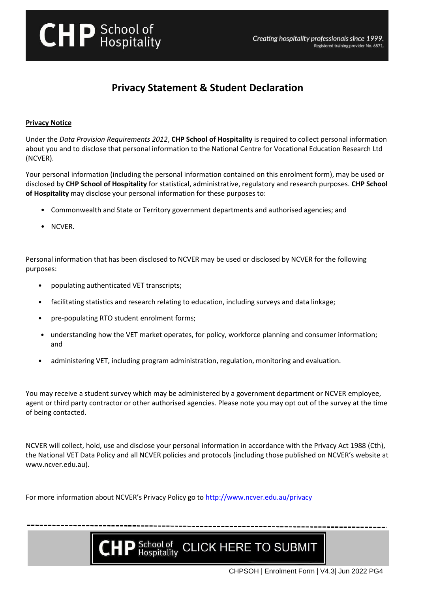

# **Privacy Statement & Student Declaration**

## **Privacy Notice**

Under the *Data Provision Requirements 2012*, **CHP School of Hospitality** is required to collect personal information about you and to disclose that personal information to the National Centre for Vocational Education Research Ltd (NCVER).

Your personal information (including the personal information contained on this enrolment form), may be used or disclosed by **CHP School of Hospitality** for statistical, administrative, regulatory and research purposes. **CHP School of Hospitality** may disclose your personal information for these purposes to:

- Commonwealth and State or Territory government departments and authorised agencies; and
- NCVER.

Personal information that has been disclosed to NCVER may be used or disclosed by NCVER for the following purposes:

- populating authenticated VET transcripts;
- facilitating statistics and research relating to education, including surveys and data linkage;
- pre-populating RTO student enrolment forms;
- understanding how the VET market operates, for policy, workforce planning and consumer information; and
- administering VET, including program administration, regulation, monitoring and evaluation.

You may receive a student survey which may be administered by a government department or NCVER employee, agent or third party contractor or other authorised agencies. Please note you may opt out of the survey at the time of being contacted.

NCVER will collect, hold, use and disclose your personal information in accordance with the Privacy Act 1988 (Cth), the National VET Data Policy and all NCVER policies and protocols (including those published on NCVER's website at www.ncver.edu.au).

For more information about NCVER's Privacy Policy go to<http://www.ncver.edu.au/privacy>